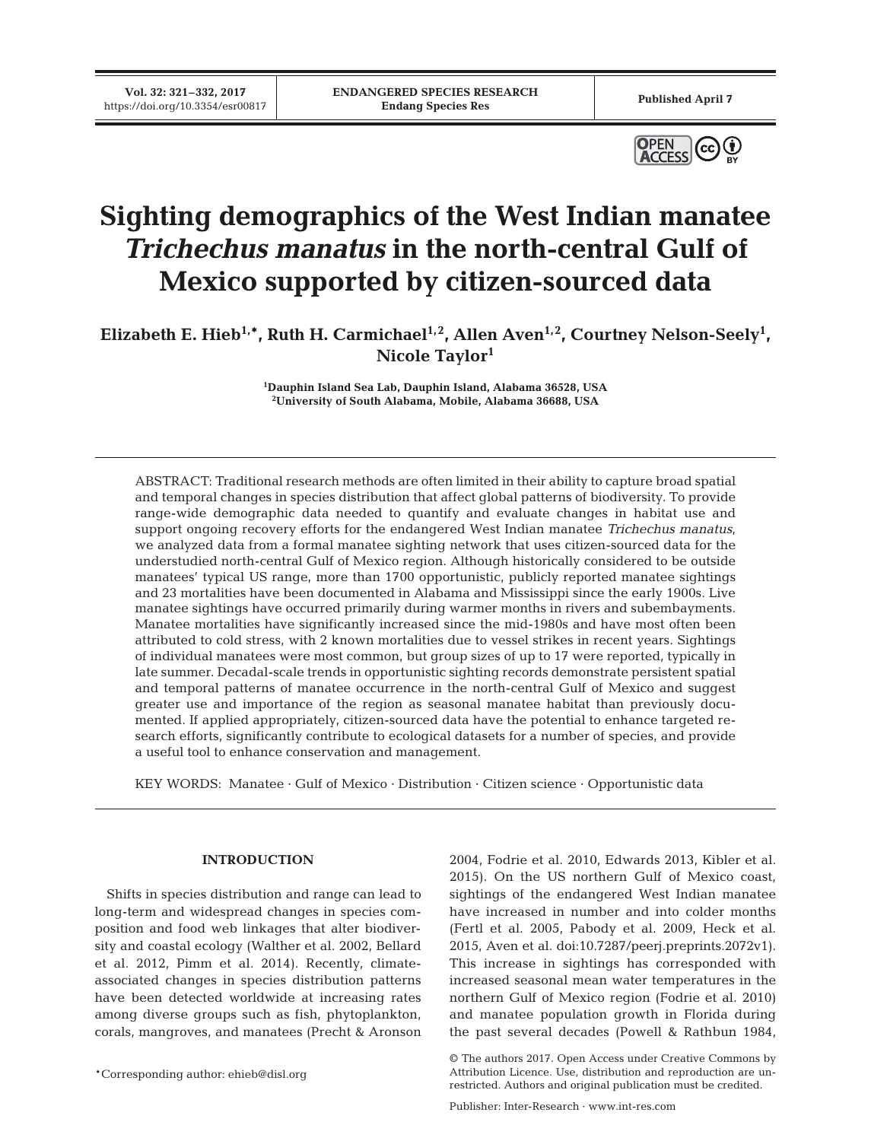**Vol. 32: 321–332, 2017**



# **Sighting demographics of the West Indian manatee** *Trichechus manatus* **in the north-central Gulf of Mexico supported by citizen-sourced data**

Elizabeth E. Hieb<sup>1,\*</sup>, Ruth H. Carmichael<sup>1,2</sup>, Allen Aven<sup>1,2</sup>, Courtney Nelson-Seely<sup>1</sup>, **Nicole Taylor1**

> **1 Dauphin Island Sea Lab, Dauphin Island, Alabama 36528, USA 2 University of South Alabama, Mobile, Alabama 36688, USA**

ABSTRACT: Traditional research methods are often limited in their ability to capture broad spatial and temporal changes in species distribution that affect global patterns of biodiversity. To provide range-wide demographic data needed to quantify and evaluate changes in habitat use and support ongoing recovery efforts for the endangered West Indian manatee *Trichechus manatus*, we analyzed data from a formal manatee sighting network that uses citizen-sourced data for the understudied north-central Gulf of Mexico region. Although historically considered to be outside manatees' typical US range, more than 1700 opportunistic, publicly reported manatee sightings and 23 mortalities have been documented in Alabama and Mississippi since the early 1900s. Live manatee sightings have occurred primarily during warmer months in rivers and subembayments. Manatee mortalities have significantly increased since the mid-1980s and have most often been attributed to cold stress, with 2 known mortalities due to vessel strikes in recent years. Sightings of individual manatees were most common, but group sizes of up to 17 were reported, typically in late summer. Decadal-scale trends in opportunistic sighting records demonstrate persistent spatial and temporal patterns of manatee occurrence in the north-central Gulf of Mexico and suggest greater use and importance of the region as seasonal manatee habitat than previously documented. If applied appropriately, citizen-sourced data have the potential to enhance targeted re search efforts, significantly contribute to ecological datasets for a number of species, and provide a useful tool to enhance conservation and management.

KEY WORDS: Manatee · Gulf of Mexico · Distribution · Citizen science · Opportunistic data

## **INTRODUCTION**

Shifts in species distribution and range can lead to long-term and widespread changes in species composition and food web linkages that alter biodiversity and coastal ecology (Walther et al. 2002, Bellard et al. 2012, Pimm et al. 2014). Recently, climateas sociated changes in species distribution patterns have been detected worldwide at increasing rates among diverse groups such as fish, phytoplankton, corals, mangroves, and manatees (Precht & Aronson

\*Corresponding author: ehieb@disl.org

2004, Fodrie et al. 2010, Edwards 2013, Kibler et al. 2015). On the US northern Gulf of Mexico coast, sightings of the endangered West Indian manatee have increased in number and into colder months (Fertl et al. 2005, Pabody et al. 2009, Heck et al. 2015, Aven et al. doi:10.7287/peerj. preprints. 2072v1). This increase in sightings has corresponded with increased seasonal mean water temperatures in the northern Gulf of Mexico region (Fodrie et al. 2010) and manatee population growth in Florida during the past several decades (Powell & Rathbun 1984,

<sup>©</sup> The authors 2017. Open Access under Creative Commons by Attribution Licence. Use, distribution and reproduction are unrestricted. Authors and original publication must be credited.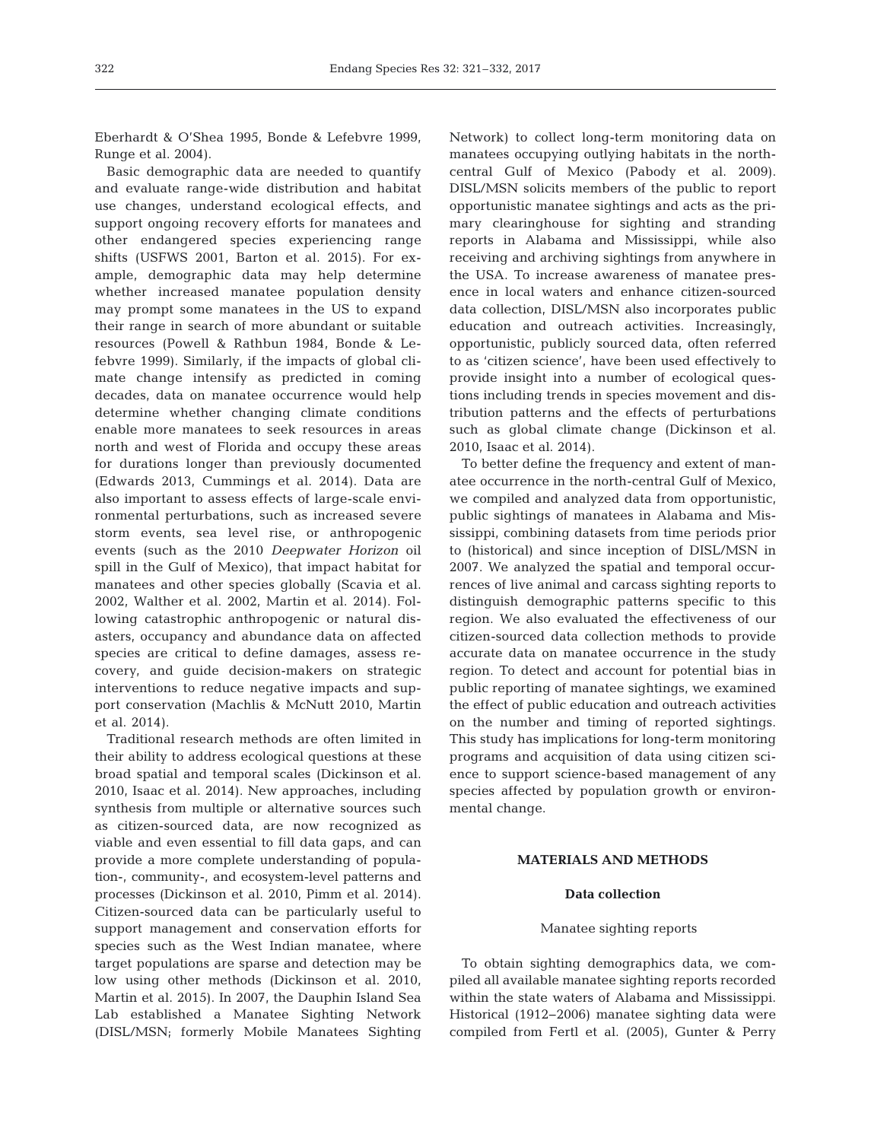Eberhardt & O'Shea 1995, Bonde & Lefebvre 1999, Runge et al. 2004).

Basic demographic data are needed to quantify and evaluate range-wide distribution and habitat use changes, understand ecological effects, and support ongoing recovery efforts for manatees and other endangered species experiencing range shifts (USFWS 2001, Barton et al. 2015). For example, demographic data may help determine whether increased manatee population density may prompt some manatees in the US to expand their range in search of more abundant or suitable resources (Powell & Rathbun 1984, Bonde & Lefebvre 1999). Similarly, if the impacts of global climate change intensify as predicted in coming decades, data on manatee occurrence would help determine whether changing climate conditions enable more manatees to seek resources in areas north and west of Florida and occupy these areas for durations longer than previously documented (Edwards 2013, Cummings et al. 2014). Data are also important to assess effects of large-scale environmental perturbations, such as increased severe storm events, sea level rise, or anthropogenic events (such as the 2010 *Deepwater Horizon* oil spill in the Gulf of Mexico), that impact habitat for manatees and other species globally (Scavia et al. 2002, Walther et al. 2002, Martin et al. 2014). Following catastrophic anthropogenic or natural disasters, occupancy and abundance data on affected species are critical to define damages, assess re covery, and guide decision-makers on strategic interventions to reduce negative impacts and support conservation (Machlis & McNutt 2010, Martin et al. 2014).

Traditional research methods are often limited in their ability to address ecological questions at these broad spatial and temporal scales (Dickinson et al. 2010, Isaac et al. 2014). New approaches, including synthesis from multiple or alternative sources such as citizen-sourced data, are now recognized as viable and even essential to fill data gaps, and can provide a more complete understanding of population-, community-, and ecosystem-level patterns and processes (Dickinson et al. 2010, Pimm et al. 2014). Citizen-sourced data can be particularly useful to support management and conservation efforts for species such as the West Indian manatee, where target populations are sparse and detection may be low using other methods (Dickinson et al. 2010, Martin et al. 2015). In 2007, the Dauphin Island Sea Lab established a Manatee Sighting Network (DISL/MSN; formerly Mobile Manatees Sighting

Network) to collect long-term monitoring data on manatees occupying outlying habitats in the northcentral Gulf of Mexico (Pabody et al. 2009). DISL/MSN solicits members of the public to report opportunistic manatee sightings and acts as the primary clearinghouse for sighting and stranding reports in Alabama and Mississippi, while also receiving and archiving sightings from anywhere in the USA. To increase awareness of manatee presence in local waters and enhance citizen-sourced data collection, DISL/MSN also incorporates public education and outreach activities. Increasingly, opportunistic, publicly sourced data, often referred to as 'citizen science', have been used effectively to provide insight into a number of ecological questions including trends in species movement and distribution patterns and the effects of perturbations such as global climate change (Dickinson et al. 2010, Isaac et al. 2014).

To better define the frequency and extent of manatee occurrence in the north-central Gulf of Mexico, we compiled and analyzed data from opportunistic, public sightings of manatees in Alabama and Mississippi, combining datasets from time periods prior to (historical) and since inception of DISL/MSN in 2007. We analyzed the spatial and temporal occurrences of live animal and carcass sighting reports to distinguish demographic patterns specific to this region. We also evaluated the effectiveness of our citizen-sourced data collection methods to provide accurate data on manatee occurrence in the study region. To detect and account for potential bias in public reporting of manatee sightings, we examined the effect of public education and outreach activities on the number and timing of reported sightings. This study has implications for long-term monitoring programs and acquisition of data using citizen science to support science-based management of any species affected by population growth or environmental change.

## **MATERIALS AND METHODS**

### **Data collection**

#### Manatee sighting reports

To obtain sighting demographics data, we compiled all available manatee sighting reports recorded within the state waters of Alabama and Mississippi. Historical (1912−2006) manatee sighting data were compiled from Fertl et al. (2005), Gunter & Perry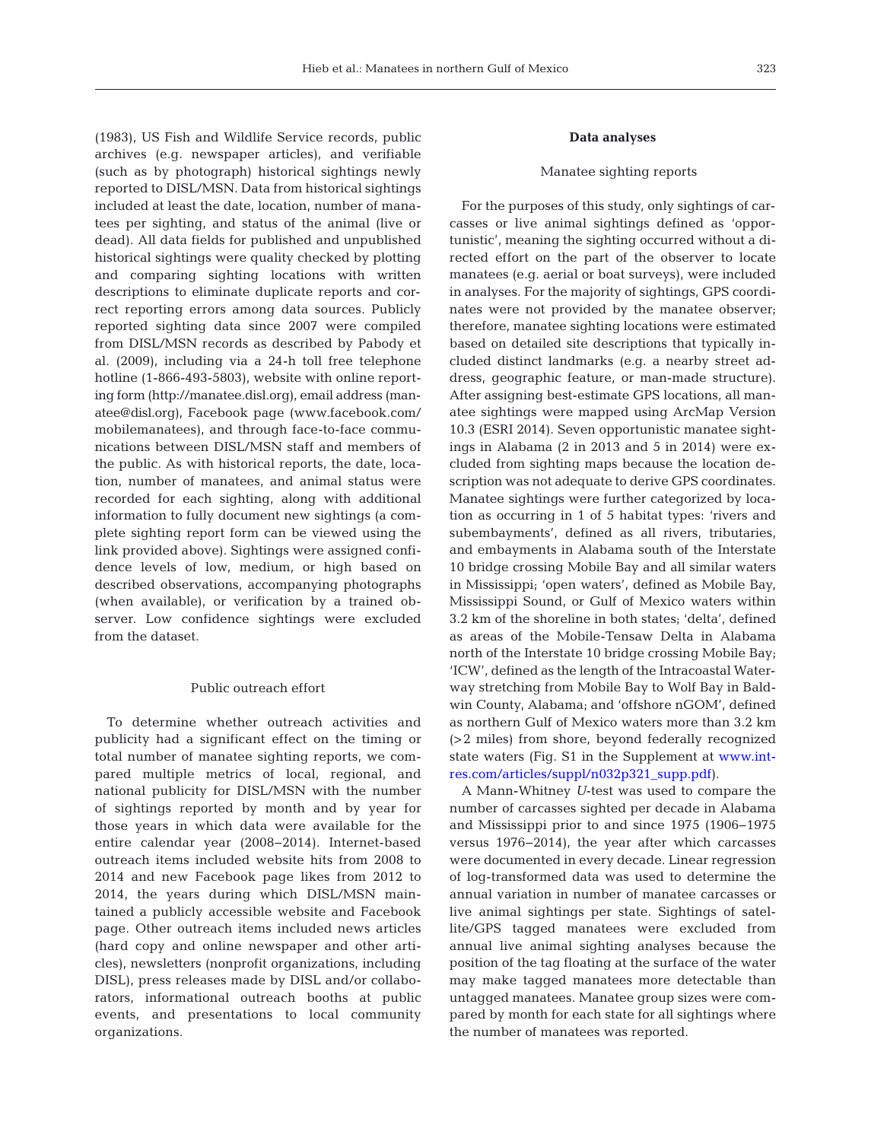(1983), US Fish and Wildlife Service records, public archives (e.g. newspaper articles), and verifiable (such as by photograph) historical sightings newly reported to DISL/MSN. Data from historical sightings included at least the date, location, number of manatees per sighting, and status of the animal (live or dead). All data fields for published and unpublished historical sightings were quality checked by plotting and comparing sighting locations with written descriptions to eliminate duplicate reports and correct reporting errors among data sources. Publicly reported sighting data since 2007 were compiled from DISL/MSN records as described by Pabody et al. (2009), including via a 24-h toll free telephone hotline (1-866-493-5803), website with online reporting form (http://manatee.disl.org), email address (manatee@disl.org), Facebook page (www.facebook.com/ mobilemanatees), and through face-to-face communications be tween DISL/MSN staff and members of the public. As with historical reports, the date, location, number of manatees, and animal status were recorded for each sighting, along with additional information to fully document new sightings (a complete sighting report form can be viewed using the link provided above). Sightings were assigned confidence levels of low, medium, or high based on described observations, accompanying photographs (when available), or verification by a trained observer. Low confidence sightings were excluded from the dataset.

#### Public outreach effort

To determine whether outreach activities and publicity had a significant effect on the timing or total number of manatee sighting reports, we compared multiple metrics of local, regional, and national publicity for DISL/MSN with the number of sightings reported by month and by year for those years in which data were available for the entire calendar year (2008−2014). Internet-based outreach items included website hits from 2008 to 2014 and new Facebook page likes from 2012 to 2014, the years during which DISL/MSN maintained a publicly accessible website and Facebook page. Other outreach items included news articles (hard copy and online newspaper and other articles), newsletters (nonprofit organizations, including DISL), press releases made by DISL and/or collaborators, informational outreach booths at public events, and presentations to local community organizations.

## **Data analyses**

## Manatee sighting reports

For the purposes of this study, only sightings of carcasses or live animal sightings defined as 'opportunistic', meaning the sighting occurred without a directed effort on the part of the observer to locate manatees (e.g. aerial or boat surveys), were included in analyses. For the majority of sightings, GPS coordinates were not provided by the manatee observer; therefore, manatee sighting locations were estimated based on detailed site descriptions that typically included distinct landmarks (e.g. a nearby street address, geographic feature, or man-made structure). After assigning best-estimate GPS locations, all manatee sightings were mapped using ArcMap Version 10.3 (ESRI 2014). Seven opportunistic manatee sightings in Alabama (2 in 2013 and 5 in 2014) were excluded from sighting maps because the location description was not adequate to derive GPS coordinates. Manatee sightings were further categorized by location as occurring in 1 of 5 habitat types: 'rivers and subembayments', defined as all rivers, tributaries, and embayments in Alabama south of the Interstate 10 bridge crossing Mobile Bay and all similar waters in Mississippi; 'open waters', defined as Mobile Bay, Mississippi Sound, or Gulf of Mexico waters within 3.2 km of the shoreline in both states; 'delta', defined as areas of the Mobile-Tensaw Delta in Alabama north of the Interstate 10 bridge crossing Mobile Bay; 'ICW', defined as the length of the Intracoastal Waterway stretching from Mobile Bay to Wolf Bay in Baldwin County, Alabama; and 'offshore nGOM', defined as northern Gulf of Mexico waters more than 3.2 km (>2 miles) from shore, beyond federally recognized state waters (Fig. S1 in the Supplement a[t www.int](http://www.int-res.com/articles/suppl/n032p321_supp.pdf)res.com/articles/suppl/n032p321\_supp.pdf).

A Mann-Whitney *U*-test was used to compare the number of carcasses sighted per decade in Alabama and Mississippi prior to and since 1975 (1906−1975 versus 1976−2014), the year after which carcasses were documented in every decade. Linear regression of log-transformed data was used to determine the annual variation in number of manatee carcasses or live animal sightings per state. Sightings of satellite/GPS tagged manatees were excluded from annual live animal sighting analyses because the position of the tag floating at the surface of the water may make tagged manatees more detectable than untagged manatees. Manatee group sizes were compared by month for each state for all sightings where the number of manatees was reported.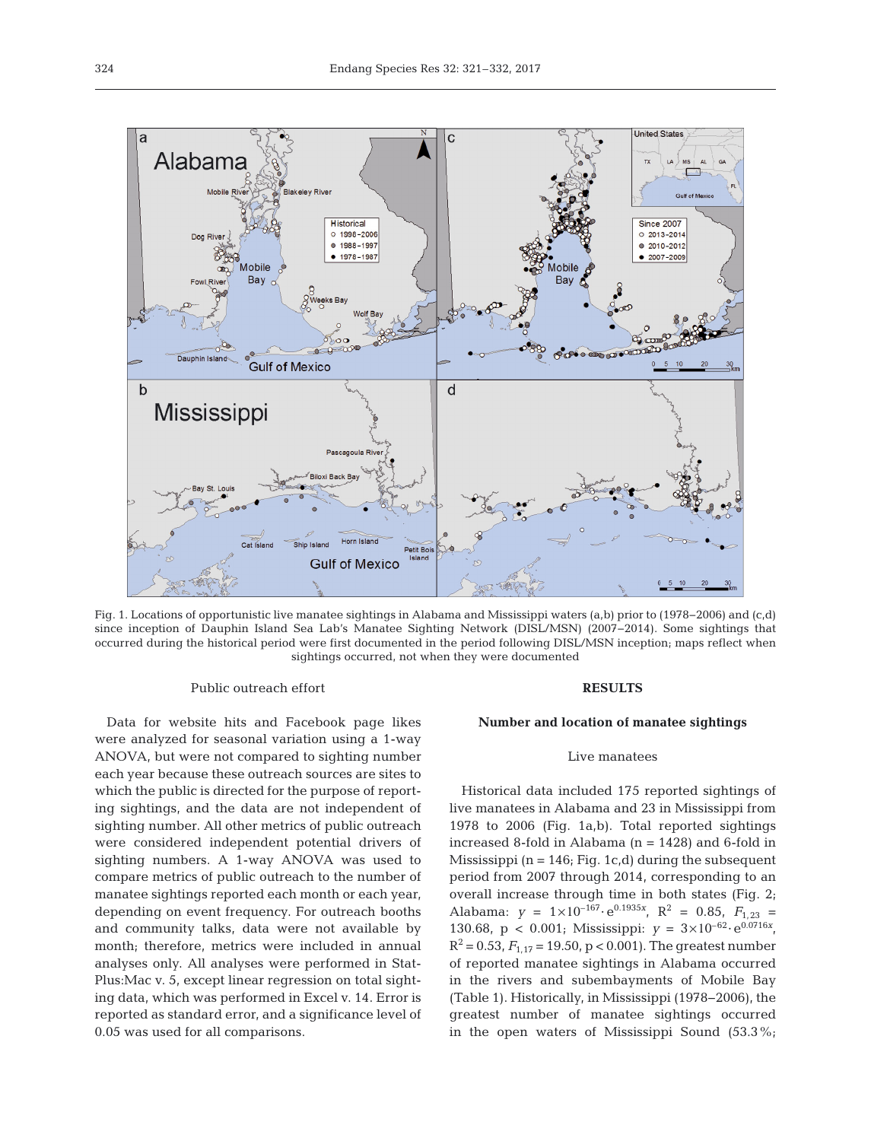

Fig. 1. Locations of opportunistic live manatee sightings in Alabama and Mississippi waters (a,b) prior to (1978−2006) and (c,d) since inception of Dauphin Island Sea Lab's Manatee Sighting Network (DISL/MSN) (2007−2014). Some sightings that occurred during the historical period were first documented in the period following DISL/MSN inception; maps reflect when sightings occurred, not when they were documented

#### Public outreach effort

Data for website hits and Facebook page likes were analyzed for seasonal variation using a 1-way ANOVA, but were not compared to sighting number each year because these outreach sources are sites to which the public is directed for the purpose of reporting sightings, and the data are not independent of sighting number. All other metrics of public outreach were considered independent potential drivers of sighting numbers. A 1-way ANOVA was used to compare metrics of public outreach to the number of manatee sightings reported each month or each year, depending on event frequency. For outreach booths and community talks, data were not available by month; therefore, metrics were included in annual analyses only. All analyses were performed in Stat-Plus:Mac v. 5, except linear regression on total sighting data, which was performed in Excel v. 14. Error is reported as standard error, and a significance level of 0.05 was used for all comparisons.

#### **RESULTS**

# **Number and location of manatee sightings**

## Live manatees

Historical data included 175 reported sightings of live manatees in Alabama and 23 in Mississippi from 1978 to 2006 (Fig. 1a,b). Total reported sightings increased 8-fold in Alabama  $(n = 1428)$  and 6-fold in Mississippi ( $n = 146$ ; Fig. 1c,d) during the subsequent period from 2007 through 2014, corresponding to an overall increase through time in both states (Fig. 2; Alabama:  $y = 1 \times 10^{-167} \cdot e^{0.1935x}$ ,  $R^2 = 0.85$ ,  $F_{1,23} =$ 130.68, p < 0.001; Mississippi:  $y = 3 \times 10^{-62} \cdot e^{0.0716x}$ ,  $R^2 = 0.53$ ,  $F_{1,17} = 19.50$ , p < 0.001). The greatest number of reported manatee sightings in Alabama occurred in the rivers and subembayments of Mobile Bay (Table 1). Historically, in Mississippi (1978−2006), the greatest number of manatee sightings occurred in the open waters of Mississippi Sound (53.3%;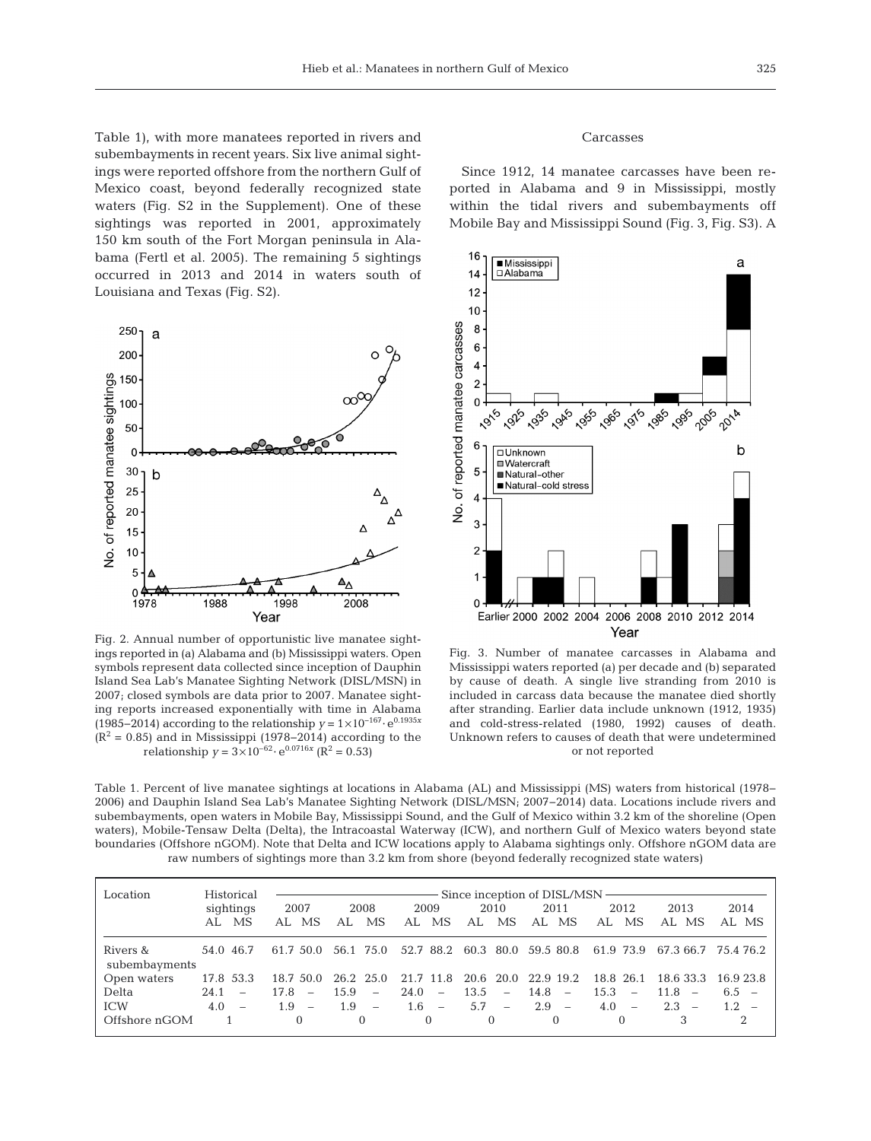Table 1), with more manatees reported in rivers and subembayments in recent years. Six live animal sightings were reported offshore from the northern Gulf of Mexico coast, beyond federally recognized state waters (Fig. S2 in the Supplement). One of these sightings was reported in 2001, approximately 150 km south of the Fort Morgan peninsula in Alabama (Fertl et al. 2005). The remaining 5 sightings occurred in 2013 and 2014 in waters south of Louisiana and Texas (Fig. S2).



Fig. 2. Annual number of opportunistic live manatee sightings reported in (a) Alabama and (b) Mississippi waters. Open symbols represent data collected since inception of Dauphin Island Sea Lab's Manatee Sighting Network (DISL/MSN) in 2007; closed symbols are data prior to 2007. Manatee sighting reports increased exponentially with time in Alabama (1985− 2014) according to the relationship *y* = 1×10−167· e0.1935*<sup>x</sup>*  $(R<sup>2</sup> = 0.85)$  and in Mississippi (1978–2014) according to the relationship  $y = 3 \times 10^{-62} \cdot e^{0.0716x}$  ( $\mathbb{R}^2 = 0.53$ )

## Carcasses

Since 1912, 14 manatee carcasses have been reported in Alabama and 9 in Mississippi, mostly within the tidal rivers and subembayments off Mobile Bay and Mississippi Sound (Fig. 3, Fig. S3). A



Fig. 3. Number of manatee carcasses in Alabama and Mississippi waters reported (a) per decade and (b) separated by cause of death. A single live stranding from 2010 is included in carcass data because the manatee died shortly after stranding. Earlier data include unknown (1912, 1935) and cold-stress-related (1980, 1992) causes of death. Unknown refers to causes of death that were undetermined or not reported

Table 1. Percent of live manatee sightings at locations in Alabama (AL) and Mississippi (MS) waters from historical (1978− 2006) and Dauphin Island Sea Lab's Manatee Sighting Network (DISL/MSN; 2007−2014) data. Locations include rivers and subembayments, open waters in Mobile Bay, Mississippi Sound, and the Gulf of Mexico within 3.2 km of the shoreline (Open waters), Mobile-Tensaw Delta (Delta), the Intracoastal Waterway (ICW), and northern Gulf of Mexico waters beyond state boundaries (Offshore nGOM). Note that Delta and ICW locations apply to Alabama sightings only. Offshore nGOM data are raw numbers of sightings more than 3.2 km from shore (beyond federally recognized state waters)

| Location                  | Historical                       |                                 |                                  |                                  |                                  |           |                                  |                     |           |
|---------------------------|----------------------------------|---------------------------------|----------------------------------|----------------------------------|----------------------------------|-----------|----------------------------------|---------------------|-----------|
|                           | sightings                        | 2007                            | 2008                             | 2009                             | 2010                             | 2011      | 2012                             | 2013                | 2014      |
|                           | AL MS                            | MS<br>AL                        | MS<br>AL.                        | <b>MS</b><br>AL.                 | MS<br>AL.                        | MS<br>AL. | MS.<br>AL                        | AL MS               | AL MS     |
| Rivers &<br>subembayments | 54.0 46.7                        | 61.7 50.0                       | 56.1 75.0                        |                                  | 52.7 88.2 60.3 80.0 59.5 80.8    |           | 61.9 73.9                        | 67.3 66.7 75.4 76.2 |           |
| Open waters               | 17.8 53.3                        | 18.7 50.0                       | 26.2 25.0                        | 21.7 11.8                        | 20.6 20.0 22.9 19.2              |           | 18.8 26.1                        | 18.6 33.3           | 16.9.23.8 |
| Delta                     | 24.1<br>$\overline{\phantom{0}}$ | 17.8<br>$\qquad \qquad -$       | 15.9<br>$\overline{\phantom{a}}$ | 24.0<br>$\overline{\phantom{a}}$ | 13.5<br>$\overline{\phantom{a}}$ | $14.8 -$  | 15.3<br>$\overline{\phantom{0}}$ | $11.8 -$            | 6.5 $-$   |
| <b>ICW</b>                | $4.0 -$                          | 1.9<br>$\overline{\phantom{a}}$ | 1.9<br>$\overline{\phantom{a}}$  | $1.6 -$                          | 5.7<br>$\overline{\phantom{a}}$  | $2.9 -$   | 4.0<br>$\overline{\phantom{a}}$  | $2.3 -$             | 1.2.      |
| Offshore nGOM             |                                  | $\Omega$                        | $\Omega$                         | $\Omega$                         | $\Omega$                         | $\Omega$  |                                  |                     | 2         |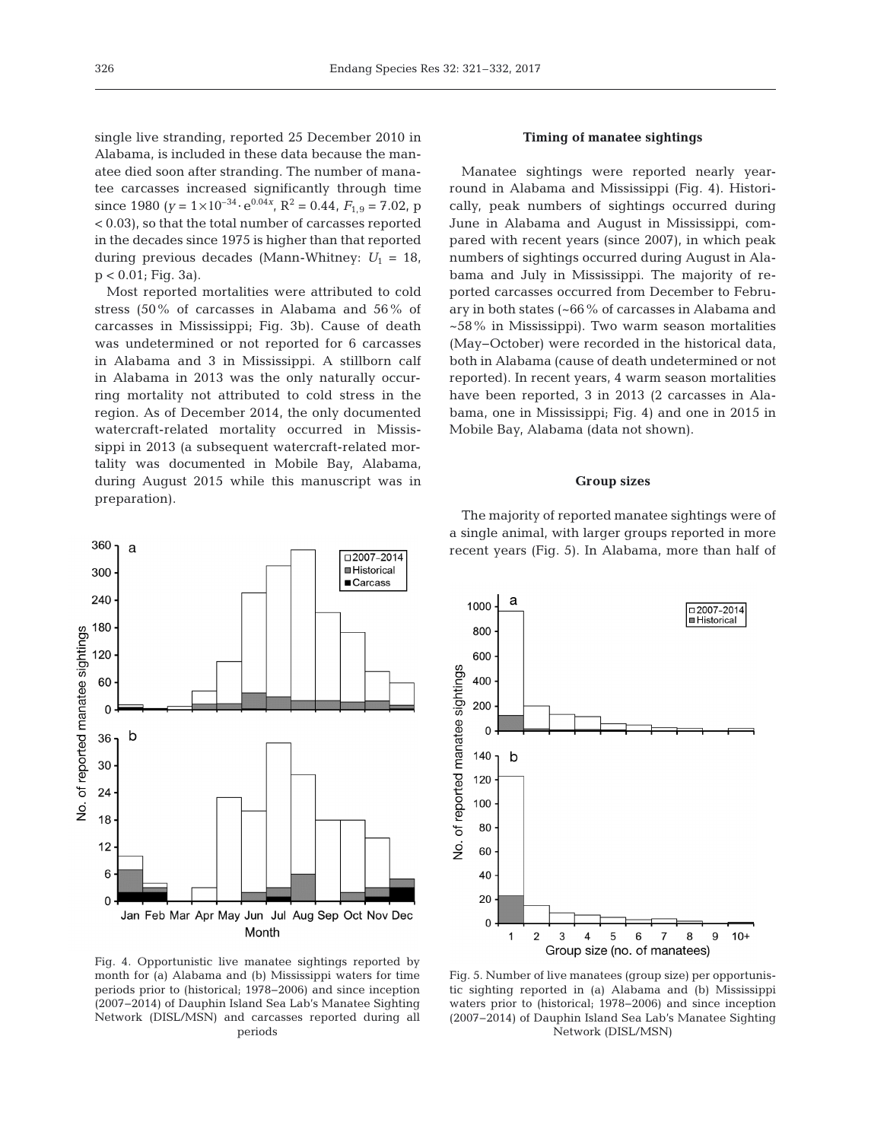single live stranding, reported 25 December 2010 in Alabama, is included in these data because the manatee died soon after stranding. The number of manatee carcasses increased significantly through time since 1980  $(y = 1 \times 10^{-34} \cdot e^{0.04x}, R^2 = 0.44, F_{1,9} = 7.02, p$ < 0.03), so that the total number of carcasses reported in the decades since 1975 is higher than that reported during previous decades (Mann-Whitney:  $U_1 = 18$ , p < 0.01; Fig. 3a).

Most reported mortalities were attributed to cold stress (50% of carcasses in Alabama and 56% of carcasses in Mississippi; Fig. 3b). Cause of death was undetermined or not reported for 6 carcasses in Alabama and 3 in Mississippi. A stillborn calf in Alabama in 2013 was the only naturally occurring mortality not attributed to cold stress in the region. As of December 2014, the only documented watercraft-related mortality occurred in Mississippi in 2013 (a subsequent watercraft-related mortality was documented in Mobile Bay, Alabama, during August 2015 while this manuscript was in preparation).



#### **Timing of manatee sightings**

Manatee sightings were reported nearly yearround in Alabama and Mississippi (Fig. 4). Historically, peak numbers of sightings occurred during June in Alabama and August in Mississippi, compared with recent years (since 2007), in which peak numbers of sightings occurred during August in Alabama and July in Mississippi. The majority of reported carcasses occurred from December to February in both states (~66% of carcasses in Alabama and ~58% in Mississippi). Two warm season mortalities (May−October) were recorded in the historical data, both in Alabama (cause of death undetermined or not reported). In recent years, 4 warm season mortalities have been reported, 3 in 2013 (2 carcasses in Alabama, one in Mississippi; Fig. 4) and one in 2015 in Mobile Bay, Alabama (data not shown).

## **Group sizes**

The majority of reported manatee sightings were of a single animal, with larger groups reported in more recent years (Fig. 5). In Alabama, more than half of



Fig. 4. Opportunistic live manatee sightings reported by month for (a) Alabama and (b) Mississippi waters for time periods prior to (historical; 1978−2006) and since inception (2007−2014) of Dauphin Island Sea Lab's Manatee Sighting Network (DISL/MSN) and carcasses reported during all periods

Fig. 5. Number of live manatees (group size) per opportunistic sighting reported in (a) Alabama and (b) Mississippi waters prior to (historical; 1978−2006) and since inception (2007− 2014) of Dauphin Island Sea Lab's Manatee Sighting Network (DISL/MSN)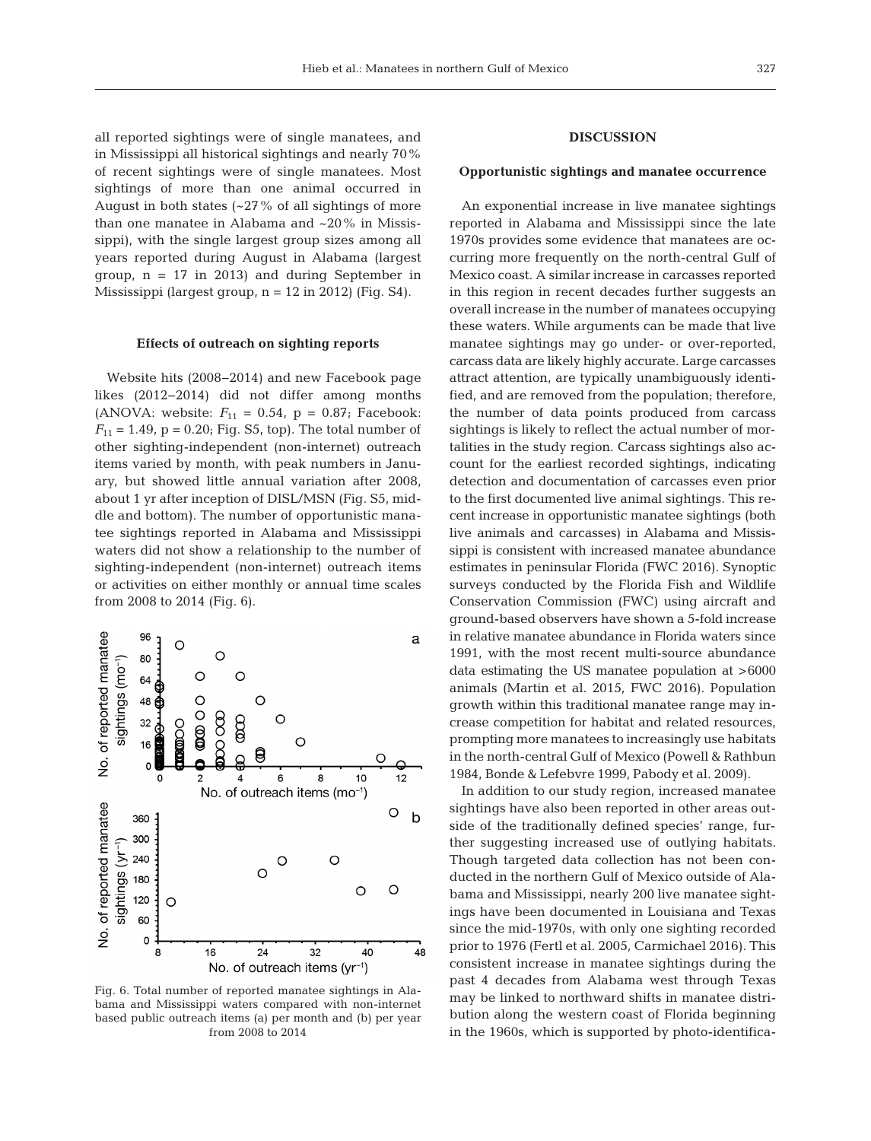all reported sightings were of single manatees, and in Mississippi all historical sightings and nearly 70% of recent sightings were of single manatees. Most sightings of more than one animal occurred in August in both states  $(-27\% \text{ of all sightings of more})$ than one manatee in Alabama and ~20% in Mississippi), with the single largest group sizes among all years reported during August in Alabama (largest group,  $n = 17$  in 2013) and during September in Mississippi (largest group, n = 12 in 2012) (Fig. S4).

#### **Effects of outreach on sighting reports**

Website hits (2008−2014) and new Facebook page likes (2012−2014) did not differ among months (ANOVA: website:  $F_{11} = 0.54$ ,  $p = 0.87$ ; Facebook:  $F_{11} = 1.49$ ,  $p = 0.20$ ; Fig. S5, top). The total number of other sighting-independent (non-internet) outreach items varied by month, with peak numbers in January, but showed little annual variation after 2008, about 1 yr after inception of DISL/MSN (Fig. S5, middle and bottom). The number of opportunistic manatee sightings reported in Alabama and Mississippi waters did not show a relationship to the number of sighting-independent (non-internet) outreach items or activities on either monthly or annual time scales from 2008 to 2014 (Fig. 6).



Fig. 6. Total number of reported manatee sightings in Alabama and Mississippi waters compared with non-internet based public outreach items (a) per month and (b) per year from 2008 to 2014

## **DISCUSSION**

## **Opportunistic sightings and manatee occurrence**

An exponential increase in live manatee sightings reported in Alabama and Mississippi since the late 1970s provides some evidence that manatees are occurring more frequently on the north-central Gulf of Mexico coast. A similar increase in carcasses reported in this region in recent decades further suggests an overall increase in the number of manatees occupying these waters. While arguments can be made that live manatee sightings may go under- or over-reported, carcass data are likely highly accurate. Large carcasses attract attention, are typically unambiguously identified, and are removed from the population; therefore, the number of data points produced from carcass sightings is likely to reflect the actual number of mortalities in the study region. Carcass sightings also account for the earliest recorded sightings, indicating detection and documentation of carcasses even prior to the first documented live animal sightings. This recent increase in opportunistic manatee sightings (both live animals and carcasses) in Alabama and Mississippi is consistent with increased manatee abundance estimates in peninsular Florida (FWC 2016). Synoptic surveys conducted by the Florida Fish and Wildlife Conservation Commission (FWC) using aircraft and ground-based observers have shown a 5-fold increase in relative manatee abundance in Florida waters since 1991, with the most recent multi-source abundance data estimating the US manatee population at >6000 animals (Martin et al. 2015, FWC 2016). Population growth within this traditional manatee range may increase competition for habitat and related resources, prompting more manatees to increasingly use habitats in the north-central Gulf of Mexico (Powell & Rathbun 1984, Bonde & Lefebvre 1999, Pabody et al. 2009).

In addition to our study region, increased manatee sightings have also been reported in other areas outside of the traditionally defined species' range, further suggesting increased use of outlying habitats. Though targeted data collection has not been conducted in the northern Gulf of Mexico outside of Alabama and Mississippi, nearly 200 live manatee sightings have been documented in Louisiana and Texas since the mid-1970s, with only one sighting recorded prior to 1976 (Fertl et al. 2005, Carmichael 2016). This consistent increase in manatee sightings during the past 4 decades from Alabama west through Texas may be linked to northward shifts in manatee distribution along the western coast of Florida beginning in the 1960s, which is supported by photo-identifica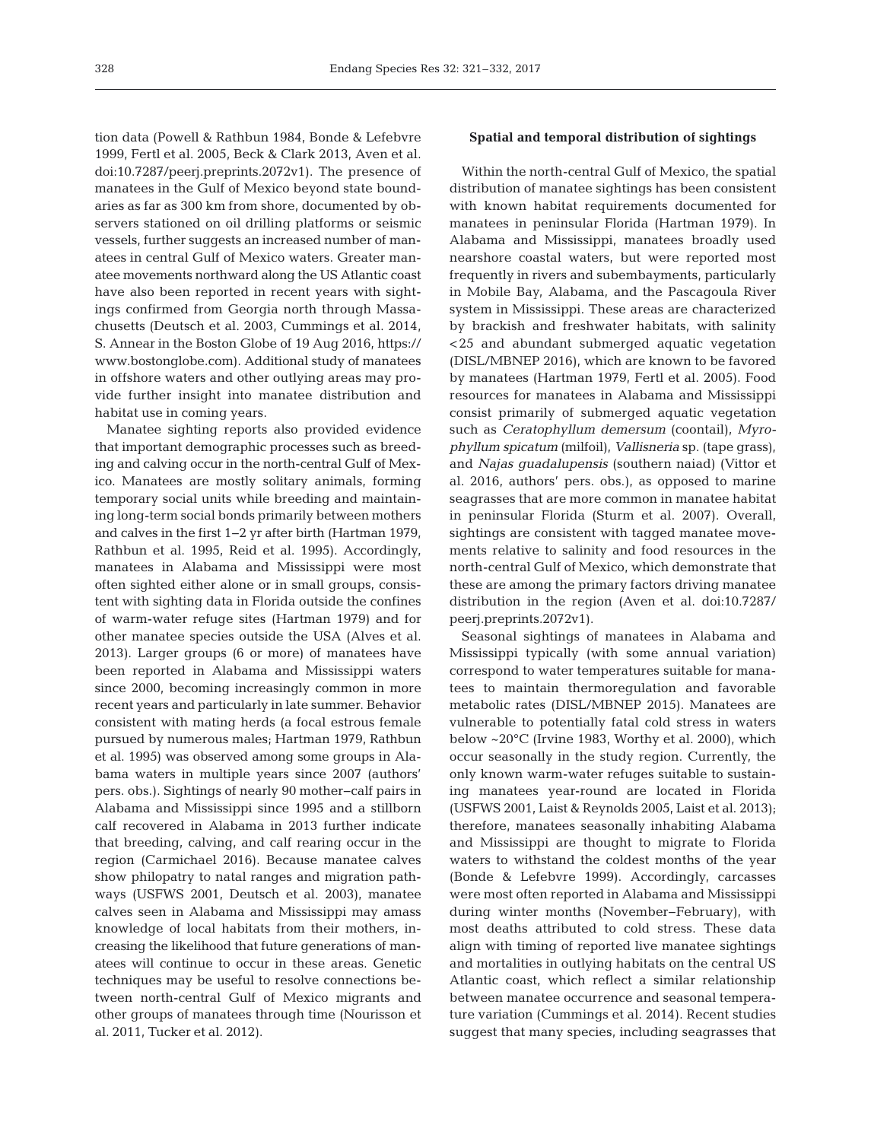tion data (Powell & Rathbun 1984, Bonde & Lefebvre 1999, Fertl et al. 2005, Beck & Clark 2013, Aven et al. doi:10.7287/peerj. preprints. 2072v1). The presence of manatees in the Gulf of Mexico beyond state boundaries as far as 300 km from shore, documented by observers stationed on oil drilling platforms or seismic vessels, further suggests an increased number of manatees in central Gulf of Mexico waters. Greater manatee movements northward along the US Atlantic coast have also been reported in recent years with sightings confirmed from Georgia north through Massachusetts (Deutsch et al. 2003, Cummings et al. 2014, S. Annear in the Boston Globe of 19 Aug 2016, https:// www.bostonglobe.com). Additional study of manatees in offshore waters and other outlying areas may provide further insight into manatee distribution and habitat use in coming years.

Manatee sighting reports also provided evidence that important demographic processes such as breeding and calving occur in the north-central Gulf of Mexico. Manatees are mostly solitary animals, forming temporary social units while breeding and maintaining long-term social bonds primarily between mothers and calves in the first 1−2 yr after birth (Hartman 1979, Rathbun et al. 1995, Reid et al. 1995). Accordingly, manatees in Alabama and Mississippi were most often sighted either alone or in small groups, consistent with sighting data in Florida outside the confines of warm-water refuge sites (Hartman 1979) and for other manatee species outside the USA (Alves et al. 2013). Larger groups (6 or more) of manatees have been reported in Alabama and Mississippi waters since 2000, becoming increasingly common in more recent years and particularly in late summer. Behavior consistent with mating herds (a focal estrous female pursued by numerous males; Hartman 1979, Rathbun et al. 1995) was observed among some groups in Alabama waters in multiple years since 2007 (authors' pers. obs.). Sightings of nearly 90 mother−calf pairs in Alabama and Mississippi since 1995 and a stillborn calf recovered in Alabama in 2013 further indicate that breeding, calving, and calf rearing occur in the region (Carmichael 2016). Because manatee calves show philopatry to natal ranges and migration pathways (USFWS 2001, Deutsch et al. 2003), manatee calves seen in Alabama and Mississippi may amass knowledge of local habitats from their mothers, increasing the likelihood that future generations of manatees will continue to occur in these areas. Genetic techniques may be useful to resolve connections between north-central Gulf of Mexico migrants and other groups of manatees through time (Nourisson et al. 2011, Tucker et al. 2012).

#### **Spatial and temporal distribution of sightings**

Within the north-central Gulf of Mexico, the spatial distribution of manatee sightings has been consistent with known habitat requirements documented for manatees in peninsular Florida (Hartman 1979). In Alabama and Mississippi, manatees broadly used nearshore coastal waters, but were reported most frequently in rivers and subembayments, particularly in Mobile Bay, Alabama, and the Pascagoula River system in Mississippi. These areas are characterized by brackish and freshwater habitats, with salinity <25 and abundant submerged aquatic vegetation (DISL/MBNEP 2016), which are known to be favored by manatees (Hartman 1979, Fertl et al. 2005). Food resources for manatees in Alabama and Mississippi consist primarily of submerged aquatic vegetation such as *Ceratophyllum demersum* (coontail), *Myrophyllum spicatum* (milfoil), *Vallisneria* sp. (tape grass), and *Najas guadalupensis* (southern naiad) (Vittor et al. 2016, authors' pers. obs.), as opposed to marine seagrasses that are more common in manatee habitat in peninsular Florida (Sturm et al. 2007). Overall, sightings are consistent with tagged manatee movements relative to salinity and food resources in the north-central Gulf of Mexico, which demonstrate that these are among the primary factors driving manatee distribution in the region (Aven et al. doi:10.7287/ peerj. preprints. 2072v1).

Seasonal sightings of manatees in Alabama and Mississippi typically (with some annual variation) correspond to water temperatures suitable for manatees to maintain thermoregulation and favorable metabolic rates (DISL/MBNEP 2015). Manatees are vulnerable to potentially fatal cold stress in waters below ~20°C (Irvine 1983, Worthy et al. 2000), which occur seasonally in the study region. Currently, the only known warm-water refuges suitable to sustaining manatees year-round are located in Florida (USFWS 2001, Laist & Reynolds 2005, Laist et al. 2013); therefore, manatees seasonally inhabiting Alabama and Mississippi are thought to migrate to Florida waters to withstand the coldest months of the year (Bonde & Lefebvre 1999). Accordingly, carcasses were most often reported in Alabama and Mississippi during winter months (November−February), with most deaths attributed to cold stress. These data align with timing of reported live manatee sightings and mortalities in outlying habitats on the central US Atlantic coast, which reflect a similar relationship between manatee occurrence and seasonal temperature variation (Cummings et al. 2014). Recent studies suggest that many species, including seagrasses that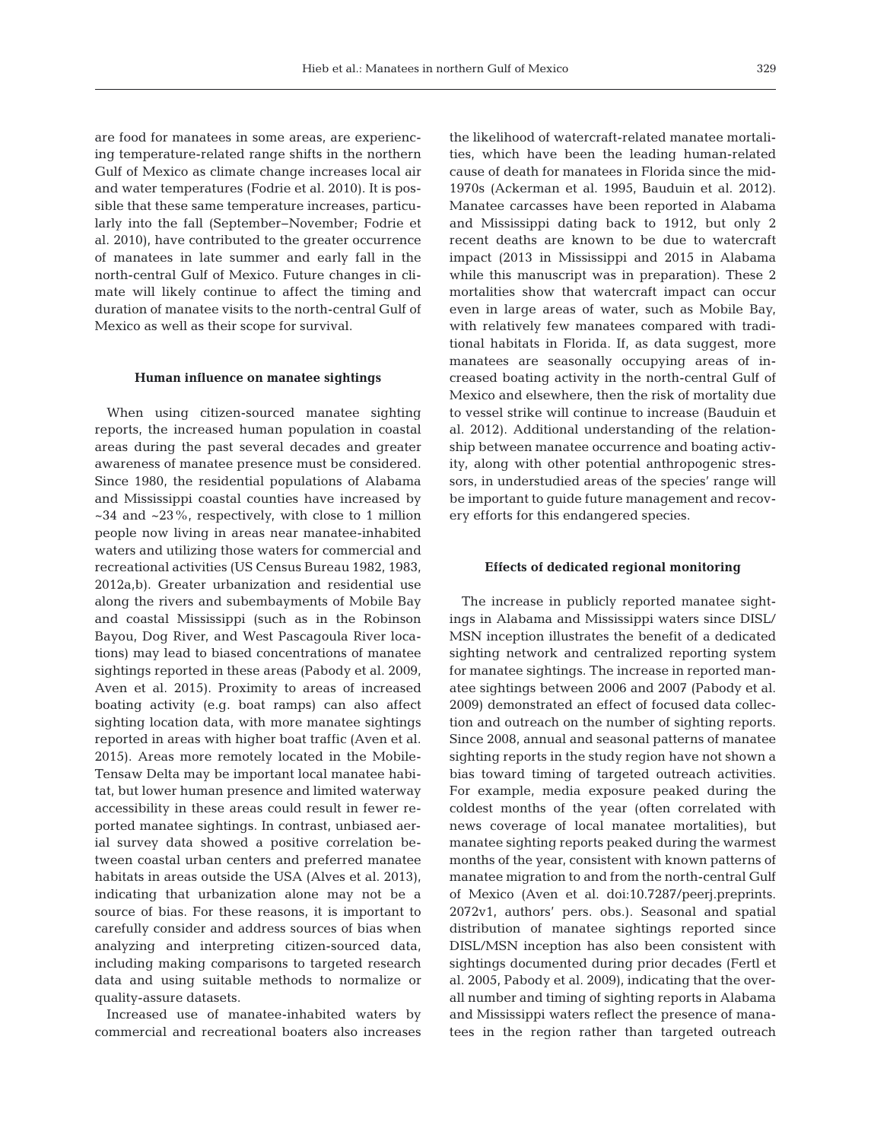are food for manatees in some areas, are experiencing temperature-related range shifts in the northern Gulf of Mexico as climate change increases local air and water temperatures (Fodrie et al. 2010). It is possible that these same temperature increases, particularly into the fall (September−November; Fodrie et al. 2010), have contributed to the greater occurrence of manatees in late summer and early fall in the north-central Gulf of Mexico. Future changes in climate will likely continue to affect the timing and duration of manatee visits to the north-central Gulf of Mexico as well as their scope for survival.

#### **Human influence on manatee sightings**

When using citizen-sourced manatee sighting reports, the increased human population in coastal areas during the past several decades and greater awareness of manatee presence must be considered. Since 1980, the residential populations of Alabama and Mississippi coastal counties have increased by  $\sim$ 34 and  $\sim$ 23%, respectively, with close to 1 million people now living in areas near manatee-inhabited waters and utilizing those waters for commercial and recreational activities (US Census Bureau 1982, 1983, 2012a,b). Greater urbanization and residential use along the rivers and subembayments of Mobile Bay and coastal Mississippi (such as in the Robinson Bayou, Dog River, and West Pascagoula River locations) may lead to biased concentrations of manatee sightings reported in these areas (Pabody et al. 2009, Aven et al. 2015). Proximity to areas of increased boating activity (e.g. boat ramps) can also affect sighting location data, with more manatee sightings reported in areas with higher boat traffic (Aven et al. 2015). Areas more remotely located in the Mobile-Tensaw Delta may be important local manatee habitat, but lower human presence and limited waterway accessibility in these areas could result in fewer re ported manatee sightings. In contrast, unbiased aerial survey data showed a positive correlation be tween coastal urban centers and preferred manatee habitats in areas outside the USA (Alves et al. 2013), indicating that urbanization alone may not be a source of bias. For these reasons, it is important to carefully consider and address sources of bias when analyzing and interpreting citizen-sourced data, including making comparisons to targeted research data and using suitable methods to normalize or quality-assure datasets.

Increased use of manatee-inhabited waters by commercial and recreational boaters also increases

the likelihood of watercraft-related manatee mortalities, which have been the leading human-related cause of death for manatees in Florida since the mid-1970s (Ackerman et al. 1995, Bauduin et al. 2012). Manatee carcasses have been reported in Alabama and Mississippi dating back to 1912, but only 2 recent deaths are known to be due to watercraft impact (2013 in Mississippi and 2015 in Alabama while this manuscript was in preparation). These 2 mortalities show that watercraft impact can occur even in large areas of water, such as Mobile Bay, with relatively few manatees compared with traditional habitats in Florida. If, as data suggest, more manatees are seasonally occupying areas of increased boating activity in the north-central Gulf of Mexico and elsewhere, then the risk of mortality due to vessel strike will continue to increase (Bauduin et al. 2012). Additional understanding of the relationship between manatee occurrence and boating activity, along with other potential anthropogenic stressors, in understudied areas of the species' range will be important to guide future management and recovery efforts for this endangered species.

#### **Effects of dedicated regional monitoring**

The increase in publicly reported manatee sightings in Alabama and Mississippi waters since DISL/ MSN inception illustrates the benefit of a dedicated sighting network and centralized reporting system for manatee sightings. The increase in reported manatee sightings between 2006 and 2007 (Pabody et al. 2009) demonstrated an effect of focused data collection and outreach on the number of sighting reports. Since 2008, annual and seasonal patterns of manatee sighting reports in the study region have not shown a bias toward timing of targeted outreach activities. For example, media exposure peaked during the coldest months of the year (often correlated with news coverage of local manatee mortalities), but manatee sighting reports peaked during the warmest months of the year, consistent with known patterns of manatee migration to and from the north-central Gulf of Mexico (Aven et al. doi:10.7287/peerj.preprints. 2072v1, authors' pers. obs.). Seasonal and spatial distribution of manatee sightings reported since DISL/MSN inception has also been consistent with sightings documented during prior decades (Fertl et al. 2005, Pabody et al. 2009), indicating that the overall number and timing of sighting reports in Alabama and Mississippi waters reflect the presence of manatees in the region rather than targeted outreach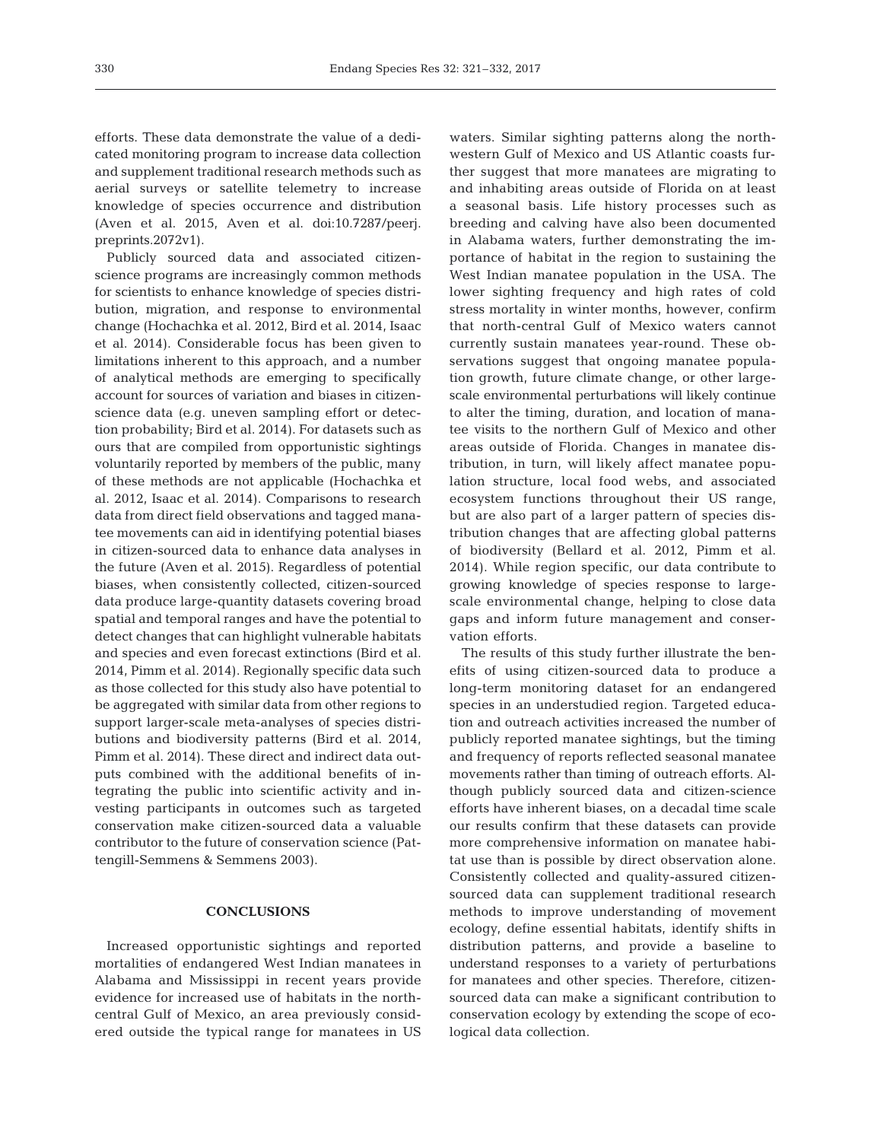efforts. These data demonstrate the value of a dedicated monitoring program to increase data collection and supplement traditional research methods such as aerial surveys or satellite telemetry to increase knowledge of species occurrence and distribution (Aven et al. 2015, Aven et al. doi:10.7287/peerj. preprints. 2072v1).

Publicly sourced data and associated citizenscience programs are increasingly common methods for scientists to enhance knowledge of species distribution, migration, and response to environmental change (Hochachka et al. 2012, Bird et al. 2014, Isaac et al. 2014). Considerable focus has been given to limitations inherent to this approach, and a number of analytical methods are emerging to specifically account for sources of variation and biases in citizenscience data (e.g. uneven sampling effort or detection probability; Bird et al. 2014). For datasets such as ours that are compiled from opportunistic sightings voluntarily reported by members of the public, many of these methods are not applicable (Hochachka et al. 2012, Isaac et al. 2014). Comparisons to research data from direct field observations and tagged manatee movements can aid in identifying potential biases in citizen-sourced data to enhance data analyses in the future (Aven et al. 2015). Regardless of potential biases, when consistently collected, citizen-sourced data produce large-quantity datasets covering broad spatial and temporal ranges and have the potential to detect changes that can highlight vulnerable habitats and species and even forecast extinctions (Bird et al. 2014, Pimm et al. 2014). Regionally specific data such as those collected for this study also have potential to be aggregated with similar data from other regions to support larger-scale meta-analyses of species distributions and biodiversity patterns (Bird et al. 2014, Pimm et al. 2014). These direct and indirect data outputs combined with the additional benefits of integrating the public into scientific activity and in vesting participants in outcomes such as targeted conservation make citizen-sourced data a valuable contributor to the future of conservation science (Pattengill-Semmens & Semmens 2003).

## **CONCLUSIONS**

Increased opportunistic sightings and reported mortalities of endangered West Indian manatees in Alabama and Mississippi in recent years provide evidence for increased use of habitats in the northcentral Gulf of Mexico, an area previously considered outside the typical range for manatees in US waters. Similar sighting patterns along the northwestern Gulf of Mexico and US Atlantic coasts further suggest that more manatees are migrating to and inhabiting areas outside of Florida on at least a seasonal basis. Life history processes such as breeding and calving have also been documented in Alabama waters, further demonstrating the importance of habitat in the region to sustaining the West Indian manatee population in the USA. The lower sighting frequency and high rates of cold stress mortality in winter months, however, confirm that north-central Gulf of Mexico waters cannot currently sustain manatees year-round. These ob servations suggest that ongoing manatee population growth, future climate change, or other largescale environmental perturbations will likely continue to alter the timing, duration, and location of manatee visits to the northern Gulf of Mexico and other areas outside of Florida. Changes in manatee distribution, in turn, will likely affect manatee population structure, local food webs, and associated ecosystem functions throughout their US range, but are also part of a larger pattern of species distribution changes that are affecting global patterns of biodiversity (Bellard et al. 2012, Pimm et al. 2014). While region specific, our data contribute to growing knowledge of species response to largescale environmental change, helping to close data gaps and inform future management and conservation efforts.

The results of this study further illustrate the benefits of using citizen-sourced data to produce a long-term monitoring dataset for an endangered species in an understudied region. Targeted education and outreach activities increased the number of publicly reported manatee sightings, but the timing and frequency of reports reflected seasonal manatee movements rather than timing of outreach efforts. Although publicly sourced data and citizen-science efforts have inherent biases, on a decadal time scale our results confirm that these datasets can provide more comprehensive information on manatee habitat use than is possible by direct observation alone. Consistently collected and quality-assured citizensourced data can supplement traditional research methods to improve understanding of movement ecology, define essential habitats, identify shifts in distribution patterns, and provide a baseline to understand responses to a variety of perturbations for manatees and other species. Therefore, citizensourced data can make a significant contribution to conservation ecology by extending the scope of ecological data collection.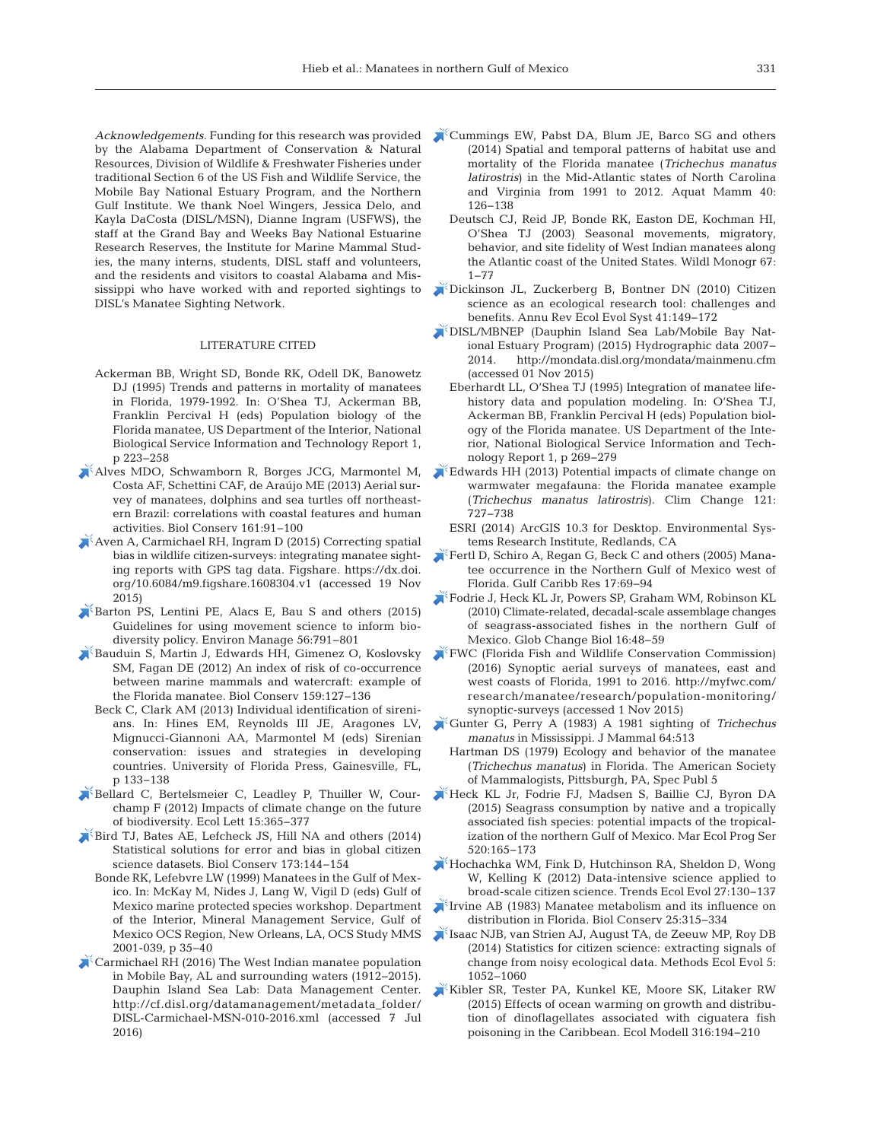*Acknowledgements*. Funding for this research was provided by the Alabama Department of Conservation & Natural Resources, Division of Wildlife & Freshwater Fisheries under traditional Section 6 of the US Fish and Wildlife Service, the Mobile Bay National Estuary Program, and the Northern Gulf Institute. We thank Noel Wingers, Jessica Delo, and Kayla DaCosta (DISL/MSN), Dianne Ingram (USFWS), the staff at the Grand Bay and Weeks Bay National Estuarine Research Reserves, the Institute for Marine Mammal Studies, the many interns, students, DISL staff and volunteers, and the residents and visitors to coastal Alabama and Mississippi who have worked with and reported sightings to DISL's Manatee Sighting Network.

#### LITERATURE CITED

- Ackerman BB, Wright SD, Bonde RK, Odell DK, Banowetz DJ (1995) Trends and patterns in mortality of manatees in Florida, 1979-1992. In: O'Shea TJ, Ackerman BB, Franklin Percival H (eds) Population biology of the Florida manatee, US Department of the Interior, National Biological Service Information and Technology Report 1, p 223−258
- [Alves MDO, Schwamborn R, Borges JCG, Marmontel M,](https://doi.org/10.1016/j.biocon.2013.02.015) Costa AF, Schettini CAF, de Araújo ME (2013) Aerial survey of manatees, dolphins and sea turtles off northeastern Brazil: correlations with coastal features and human activities. Biol Conserv 161: 91−100
- [Aven A, Carmichael RH, Ingram D \(2015\) Correcting spatial](https://dx.doi.org/10.6084/m9.figshare.1608304.v1) bias in wildlife citizen-surveys: integrating manatee sighting reports with GPS tag data. Figshare. https://dx.doi. org/ 10.6084/m9.figshare.1608304.v1 (accessed 19 Nov 2015)
- [Barton PS, Lentini PE, Alacs E, Bau S and others \(2015\)](https://www.ncbi.nlm.nih.gov/entrez/query.fcgi?cmd=Retrieve&db=PubMed&list_uids=26099570&dopt=Abstract) Guidelines for using movement science to inform bio diversity policy. Environ Manage 56:791-801
- [Bauduin S, Martin J, Edwards HH, Gimenez O, Koslovsky](https://doi.org/10.1016/j.biocon.2012.10.031) SM, Fagan DE (2012) An index of risk of co-occurrence between marine mammals and watercraft: example of the Florida manatee. Biol Conserv 159: 127−136
	- Beck C, Clark AM (2013) Individual identification of sirenians. In: Hines EM, Reynolds III JE, Aragones LV, Mignucci-Giannoni AA, Marmontel M (eds) Sirenian conservation: issues and strategies in developing countries. University of Florida Press, Gainesville, FL, p 133−138
- [Bellard C, Bertelsmeier C, Leadley P, Thuiller W, Cour](https://www.ncbi.nlm.nih.gov/entrez/query.fcgi?cmd=Retrieve&db=PubMed&list_uids=22257223&dopt=Abstract)champ F (2012) Impacts of climate change on the future of biodiversity. Ecol Lett 15: 365−377
- [Bird TJ, Bates AE, Lefcheck JS, Hill NA and others \(2014\)](https://doi.org/10.1016/j.biocon.2013.07.037) Statistical solutions for error and bias in global citizen science datasets. Biol Conserv 173: 144−154
	- Bonde RK, Lefebvre LW (1999) Manatees in the Gulf of Mexico. In: McKay M, Nides J, Lang W, Vigil D (eds) Gulf of Mexico marine protected species workshop. Department of the Interior, Mineral Management Service, Gulf of Mexico OCS Region, New Orleans, LA, OCS Study MMS 2001-039, p 35−40
- $\triangle$ <sup> $\angle$ </sup> [Carmichael RH \(2016\) The West Indian manatee population](http://cf.disl.org/datamanagement/metadata_folder/DISL-Carmichael-MSN-010-2016.xml) in Mobile Bay, AL and surrounding waters (1912−2015). Dauphin Island Sea Lab: Data Management Center. http://cf.disl.org/datamanagement/metadata\_folder/ DISL-Carmichael-MSN-010-2016.xml (accessed 7 Jul 2016)
- [Cummings EW, Pabst DA, Blum JE, Barco SG and others](https://doi.org/10.1578/AM.40.2.2014.126) (2014) Spatial and temporal patterns of habitat use and mortality of the Florida manatee (*Trichechus manatus latirostris*) in the Mid-Atlantic states of North Carolina and Virginia from 1991 to 2012. Aquat Mamm 40: 126−138
	- Deutsch CJ, Reid JP, Bonde RK, Easton DE, Kochman HI, O'Shea TJ (2003) Seasonal movements, migratory, behavior, and site fidelity of West Indian manatees along the Atlantic coast of the United States. Wildl Monogr 67: 1−77
- [Dickinson JL, Zuckerberg B, Bontner DN \(2010\) Citizen](https://doi.org/10.1146/annurev-ecolsys-102209-144636) science as an ecological research tool: challenges and benefits. Annu Rev Ecol Evol Syst 41: 149−172
- [DISL/MBNEP \(Dauphin Island Sea Lab/Mobile Bay Nat](http://mondata.disl.org/mondata/mainmenu.cfm)  ional Estuary Program) (2015) Hydrographic data 2007− 2014. http://mondata.disl.org/mondata/mainmenu.cfm (accessed 01 Nov 2015)
	- Eberhardt LL, O'Shea TJ (1995) Integration of manatee lifehistory data and population modeling. In: O'Shea TJ, Ackerman BB, Franklin Percival H (eds) Population biology of the Florida manatee. US Department of the Interior, National Biological Service Information and Technology Report 1, p 269−279
- [Edwards HH \(2013\) Potential impacts of climate change on](https://doi.org/10.1007/s10584-013-0921-2) warmwater megafauna: the Florida manatee example (*Trichechus manatus latirostris*). Clim Change 121: 727−738
	- ESRI (2014) ArcGIS 10.3 for Desktop. Environmental Systems Research Institute, Redlands, CA
- [Fertl D, Schiro A, Regan G, Beck C and others \(2005\) Mana](https://doi.org/10.18785/gcr.1701.07)tee occurrence in the Northern Gulf of Mexico west of Florida. Gulf Caribb Res 17: 69−94
- [Fodrie J, Heck KL Jr, Powers SP, Graham WM, Robinson KL](https://doi.org/10.1111/j.1365-2486.2009.01889.x) (2010) Climate-related, decadal-scale assemblage changes of seagrass-associated fishes in the northern Gulf of Mexico. Glob Change Biol 16:48-59
- [FWC \(Florida Fish and Wildlife Conservation Commission\)](http://myfwc.com/research/manatee/research/population-monitoring/synoptic-surveys) (2016) Synoptic aerial surveys of manatees, east and west coasts of Florida, 1991 to 2016. http://myfwc.com/ research/manatee/research/population-monitoring/ synoptic-surveys (accessed 1 Nov 2015)
- [Gunter G, Perry A \(1983\) A 1981 sighting of](https://doi.org/10.2307/1380368) *Trichechus manatus* in Mississippi. J Mammal 64:513
- Hartman DS (1979) Ecology and behavior of the manatee (*Trichechus manatus*) in Florida. The American Society of Mammalogists, Pittsburgh, PA, Spec Publ 5
- [Heck KL Jr, Fodrie FJ, Madsen S, Baillie CJ, Byron DA](https://doi.org/10.3354/meps11104) (2015) Seagrass consumption by native and a tropically associated fish species: potential impacts of the tropicalization of the northern Gulf of Mexico. Mar Ecol Prog Ser 520: 165−173
- [Hochachka WM, Fink D, Hutchinson RA, Sheldon D, Wong](https://www.ncbi.nlm.nih.gov/entrez/query.fcgi?cmd=Retrieve&db=PubMed&list_uids=22192976&dopt=Abstract) W, Kelling K (2012) Data-intensive science applied to broad-scale citizen science. Trends Ecol Evol 27: 130−137
- [Irvine AB \(1983\) Manatee metabolism and its influence on](https://doi.org/10.1016/0006-3207(83)90068-X) distribution in Florida. Biol Conserv 25: 315−334
- [Isaac NJB, van Strien AJ, August TA, de Zeeuw MP, Roy DB](https://doi.org/10.1111/2041-210X.12254) (2014) Statistics for citizen science: extracting signals of change from noisy ecological data. Methods Ecol Evol 5: 1052−1060
- [Kibler SR, Tester PA, Kunkel KE, Moore SK, Litaker RW](https://doi.org/10.1016/j.ecolmodel.2015.08.020) (2015) Effects of ocean warming on growth and distribution of dinoflagellates associated with ciguatera fish poisoning in the Caribbean. Ecol Modell 316: 194−210